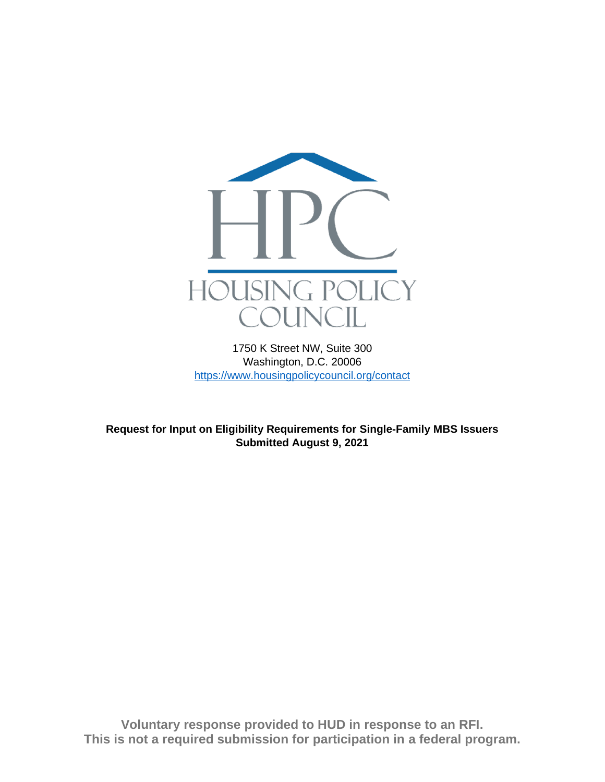

1750 K Street NW, Suite 300 Washington, D.C. 20006 <https://www.housingpolicycouncil.org/contact>

**Request for Input on Eligibility Requirements for Single-Family MBS Issuers Submitted August 9, 2021**

**Voluntary response provided to HUD in response to an RFI. This is not a required submission for participation in a federal program.**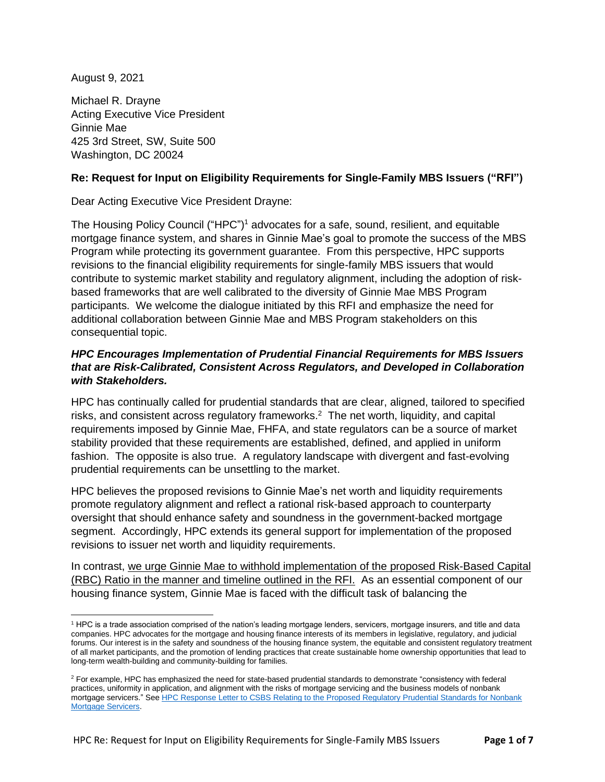August 9, 2021

Michael R. Drayne Acting Executive Vice President Ginnie Mae 425 3rd Street, SW, Suite 500 Washington, DC 20024

## **Re: Request for Input on Eligibility Requirements for Single-Family MBS Issuers ("RFI")**

Dear Acting Executive Vice President Drayne:

The Housing Policy Council ("HPC")<sup>1</sup> advocates for a safe, sound, resilient, and equitable mortgage finance system, and shares in Ginnie Mae's goal to promote the success of the MBS Program while protecting its government guarantee. From this perspective, HPC supports revisions to the financial eligibility requirements for single-family MBS issuers that would contribute to systemic market stability and regulatory alignment, including the adoption of riskbased frameworks that are well calibrated to the diversity of Ginnie Mae MBS Program participants. We welcome the dialogue initiated by this RFI and emphasize the need for additional collaboration between Ginnie Mae and MBS Program stakeholders on this consequential topic.

# *HPC Encourages Implementation of Prudential Financial Requirements for MBS Issuers that are Risk-Calibrated, Consistent Across Regulators, and Developed in Collaboration with Stakeholders.*

HPC has continually called for prudential standards that are clear, aligned, tailored to specified risks, and consistent across regulatory frameworks.<sup>2</sup> The net worth, liquidity, and capital requirements imposed by Ginnie Mae, FHFA, and state regulators can be a source of market stability provided that these requirements are established, defined, and applied in uniform fashion. The opposite is also true. A regulatory landscape with divergent and fast-evolving prudential requirements can be unsettling to the market.

HPC believes the proposed revisions to Ginnie Mae's net worth and liquidity requirements promote regulatory alignment and reflect a rational risk-based approach to counterparty oversight that should enhance safety and soundness in the government-backed mortgage segment. Accordingly, HPC extends its general support for implementation of the proposed revisions to issuer net worth and liquidity requirements.

In contrast, we urge Ginnie Mae to withhold implementation of the proposed Risk-Based Capital (RBC) Ratio in the manner and timeline outlined in the RFI. As an essential component of our housing finance system, Ginnie Mae is faced with the difficult task of balancing the

<sup>1</sup> HPC is a trade association comprised of the nation's leading mortgage lenders, servicers, mortgage insurers, and title and data companies. HPC advocates for the mortgage and housing finance interests of its members in legislative, regulatory, and judicial forums. Our interest is in the safety and soundness of the housing finance system, the equitable and consistent regulatory treatment of all market participants, and the promotion of lending practices that create sustainable home ownership opportunities that lead to long-term wealth-building and community-building for families.

<sup>&</sup>lt;sup>2</sup> For example, HPC has emphasized the need for state-based prudential standards to demonstrate "consistency with federal practices, uniformity in application, and alignment with the risks of mortgage servicing and the business models of nonbank mortgage servicers." Se[e HPC Response Letter to CSBS Relating to the Proposed Regulatory Prudential Standards for Nonbank](https://fbb0ab68-1668-4db6-9365-051035190b71.filesusr.com/ugd/d315af_361cf13ed7bc4e96957fef1fed2f0b46.pdf)  [Mortgage Servicers.](https://fbb0ab68-1668-4db6-9365-051035190b71.filesusr.com/ugd/d315af_361cf13ed7bc4e96957fef1fed2f0b46.pdf)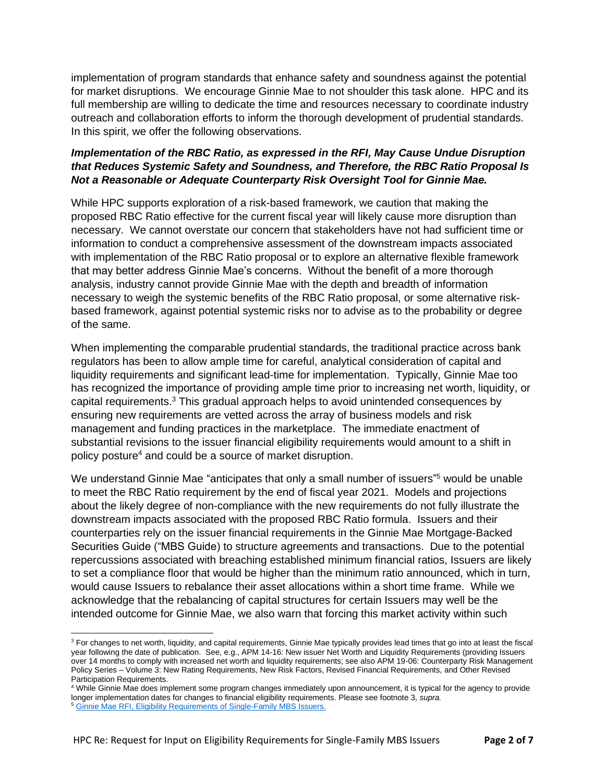implementation of program standards that enhance safety and soundness against the potential for market disruptions. We encourage Ginnie Mae to not shoulder this task alone. HPC and its full membership are willing to dedicate the time and resources necessary to coordinate industry outreach and collaboration efforts to inform the thorough development of prudential standards. In this spirit, we offer the following observations.

# *Implementation of the RBC Ratio, as expressed in the RFI, May Cause Undue Disruption that Reduces Systemic Safety and Soundness, and Therefore, the RBC Ratio Proposal Is Not a Reasonable or Adequate Counterparty Risk Oversight Tool for Ginnie Mae.*

While HPC supports exploration of a risk-based framework, we caution that making the proposed RBC Ratio effective for the current fiscal year will likely cause more disruption than necessary. We cannot overstate our concern that stakeholders have not had sufficient time or information to conduct a comprehensive assessment of the downstream impacts associated with implementation of the RBC Ratio proposal or to explore an alternative flexible framework that may better address Ginnie Mae's concerns. Without the benefit of a more thorough analysis, industry cannot provide Ginnie Mae with the depth and breadth of information necessary to weigh the systemic benefits of the RBC Ratio proposal, or some alternative riskbased framework, against potential systemic risks nor to advise as to the probability or degree of the same.

When implementing the comparable prudential standards, the traditional practice across bank regulators has been to allow ample time for careful, analytical consideration of capital and liquidity requirements and significant lead-time for implementation. Typically, Ginnie Mae too has recognized the importance of providing ample time prior to increasing net worth, liquidity, or capital requirements.<sup>3</sup> This gradual approach helps to avoid unintended consequences by ensuring new requirements are vetted across the array of business models and risk management and funding practices in the marketplace. The immediate enactment of substantial revisions to the issuer financial eligibility requirements would amount to a shift in policy posture<sup>4</sup> and could be a source of market disruption.

We understand Ginnie Mae "anticipates that only a small number of issuers"<sup>5</sup> would be unable to meet the RBC Ratio requirement by the end of fiscal year 2021. Models and projections about the likely degree of non-compliance with the new requirements do not fully illustrate the downstream impacts associated with the proposed RBC Ratio formula. Issuers and their counterparties rely on the issuer financial requirements in the Ginnie Mae Mortgage-Backed Securities Guide ("MBS Guide) to structure agreements and transactions. Due to the potential repercussions associated with breaching established minimum financial ratios, Issuers are likely to set a compliance floor that would be higher than the minimum ratio announced, which in turn, would cause Issuers to rebalance their asset allocations within a short time frame. While we acknowledge that the rebalancing of capital structures for certain Issuers may well be the intended outcome for Ginnie Mae, we also warn that forcing this market activity within such

<sup>&</sup>lt;sup>3</sup> For changes to net worth, liquidity, and capital requirements, Ginnie Mae typically provides lead times that go into at least the fiscal year following the date of publication. See, e.g., APM 14-16: New issuer Net Worth and Liquidity Requirements (providing Issuers over 14 months to comply with increased net worth and liquidity requirements; see also APM 19-06: Counterparty Risk Management Policy Series – Volume 3: New Rating Requirements, New Risk Factors, Revised Financial Requirements, and Other Revised Participation Requirements.

<sup>4</sup> While Ginnie Mae does implement some program changes immediately upon announcement, it is typical for the agency to provide longer implementation dates for changes to financial eligibility requirements. Please see footnote 3, *supra.* 

<sup>5</sup> [Ginnie Mae RFI, Eligibility Requirements of Single-Family](https://www.ginniemae.gov/newsroom/publications/Documents/Financial%20Requirements%20RFI_v2.pdf) MBS Issuers.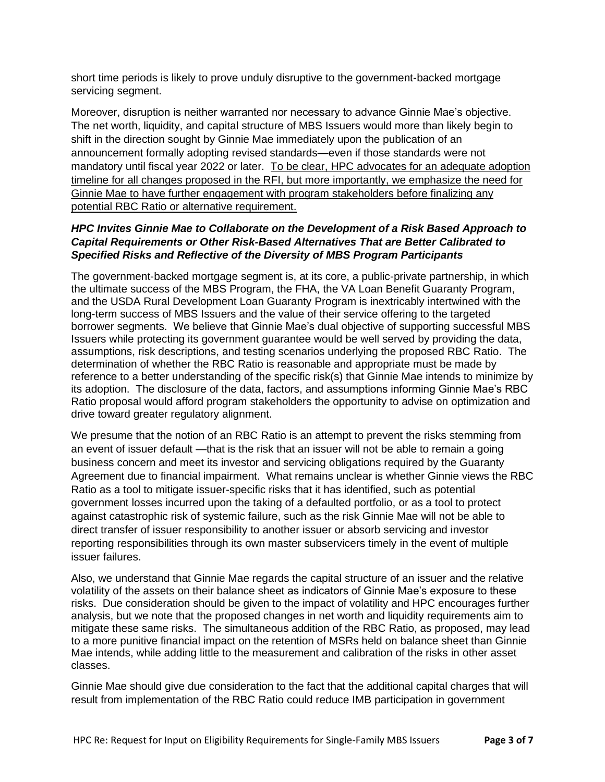short time periods is likely to prove unduly disruptive to the government-backed mortgage servicing segment.

Moreover, disruption is neither warranted nor necessary to advance Ginnie Mae's objective. The net worth, liquidity, and capital structure of MBS Issuers would more than likely begin to shift in the direction sought by Ginnie Mae immediately upon the publication of an announcement formally adopting revised standards—even if those standards were not mandatory until fiscal year 2022 or later. To be clear, HPC advocates for an adequate adoption timeline for all changes proposed in the RFI, but more importantly, we emphasize the need for Ginnie Mae to have further engagement with program stakeholders before finalizing any potential RBC Ratio or alternative requirement.

# *HPC Invites Ginnie Mae to Collaborate on the Development of a Risk Based Approach to Capital Requirements or Other Risk-Based Alternatives That are Better Calibrated to Specified Risks and Reflective of the Diversity of MBS Program Participants*

The government-backed mortgage segment is, at its core, a public-private partnership, in which the ultimate success of the MBS Program, the FHA, the VA Loan Benefit Guaranty Program, and the USDA Rural Development Loan Guaranty Program is inextricably intertwined with the long-term success of MBS Issuers and the value of their service offering to the targeted borrower segments. We believe that Ginnie Mae's dual objective of supporting successful MBS Issuers while protecting its government guarantee would be well served by providing the data, assumptions, risk descriptions, and testing scenarios underlying the proposed RBC Ratio. The determination of whether the RBC Ratio is reasonable and appropriate must be made by reference to a better understanding of the specific risk(s) that Ginnie Mae intends to minimize by its adoption. The disclosure of the data, factors, and assumptions informing Ginnie Mae's RBC Ratio proposal would afford program stakeholders the opportunity to advise on optimization and drive toward greater regulatory alignment.

We presume that the notion of an RBC Ratio is an attempt to prevent the risks stemming from an event of issuer default —that is the risk that an issuer will not be able to remain a going business concern and meet its investor and servicing obligations required by the Guaranty Agreement due to financial impairment. What remains unclear is whether Ginnie views the RBC Ratio as a tool to mitigate issuer-specific risks that it has identified, such as potential government losses incurred upon the taking of a defaulted portfolio, or as a tool to protect against catastrophic risk of systemic failure, such as the risk Ginnie Mae will not be able to direct transfer of issuer responsibility to another issuer or absorb servicing and investor reporting responsibilities through its own master subservicers timely in the event of multiple issuer failures.

Also, we understand that Ginnie Mae regards the capital structure of an issuer and the relative volatility of the assets on their balance sheet as indicators of Ginnie Mae's exposure to these risks. Due consideration should be given to the impact of volatility and HPC encourages further analysis, but we note that the proposed changes in net worth and liquidity requirements aim to mitigate these same risks. The simultaneous addition of the RBC Ratio, as proposed, may lead to a more punitive financial impact on the retention of MSRs held on balance sheet than Ginnie Mae intends, while adding little to the measurement and calibration of the risks in other asset classes.

Ginnie Mae should give due consideration to the fact that the additional capital charges that will result from implementation of the RBC Ratio could reduce IMB participation in government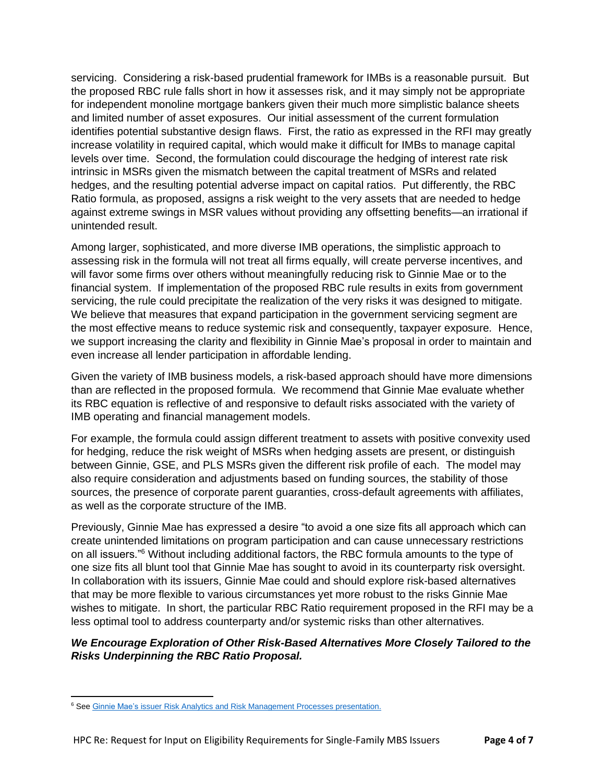servicing. Considering a risk-based prudential framework for IMBs is a reasonable pursuit. But the proposed RBC rule falls short in how it assesses risk, and it may simply not be appropriate for independent monoline mortgage bankers given their much more simplistic balance sheets and limited number of asset exposures. Our initial assessment of the current formulation identifies potential substantive design flaws. First, the ratio as expressed in the RFI may greatly increase volatility in required capital, which would make it difficult for IMBs to manage capital levels over time. Second, the formulation could discourage the hedging of interest rate risk intrinsic in MSRs given the mismatch between the capital treatment of MSRs and related hedges, and the resulting potential adverse impact on capital ratios. Put differently, the RBC Ratio formula, as proposed, assigns a risk weight to the very assets that are needed to hedge against extreme swings in MSR values without providing any offsetting benefits—an irrational if unintended result.

Among larger, sophisticated, and more diverse IMB operations, the simplistic approach to assessing risk in the formula will not treat all firms equally, will create perverse incentives, and will favor some firms over others without meaningfully reducing risk to Ginnie Mae or to the financial system. If implementation of the proposed RBC rule results in exits from government servicing, the rule could precipitate the realization of the very risks it was designed to mitigate. We believe that measures that expand participation in the government servicing segment are the most effective means to reduce systemic risk and consequently, taxpayer exposure. Hence, we support increasing the clarity and flexibility in Ginnie Mae's proposal in order to maintain and even increase all lender participation in affordable lending.

Given the variety of IMB business models, a risk-based approach should have more dimensions than are reflected in the proposed formula. We recommend that Ginnie Mae evaluate whether its RBC equation is reflective of and responsive to default risks associated with the variety of IMB operating and financial management models.

For example, the formula could assign different treatment to assets with positive convexity used for hedging, reduce the risk weight of MSRs when hedging assets are present, or distinguish between Ginnie, GSE, and PLS MSRs given the different risk profile of each. The model may also require consideration and adjustments based on funding sources, the stability of those sources, the presence of corporate parent guaranties, cross-default agreements with affiliates, as well as the corporate structure of the IMB.

Previously, Ginnie Mae has expressed a desire "to avoid a one size fits all approach which can create unintended limitations on program participation and can cause unnecessary restrictions on all issuers."<sup>6</sup> Without including additional factors, the RBC formula amounts to the type of one size fits all blunt tool that Ginnie Mae has sought to avoid in its counterparty risk oversight. In collaboration with its issuers, Ginnie Mae could and should explore risk-based alternatives that may be more flexible to various circumstances yet more robust to the risks Ginnie Mae wishes to mitigate. In short, the particular RBC Ratio requirement proposed in the RFI may be a less optimal tool to address counterparty and/or systemic risks than other alternatives.

# *We Encourage Exploration of Other Risk-Based Alternatives More Closely Tailored to the Risks Underpinning the RBC Ratio Proposal.*

<sup>&</sup>lt;sup>6</sup> See Ginnie Mae's issuer Risk Analytics and Risk Management Processes presentation.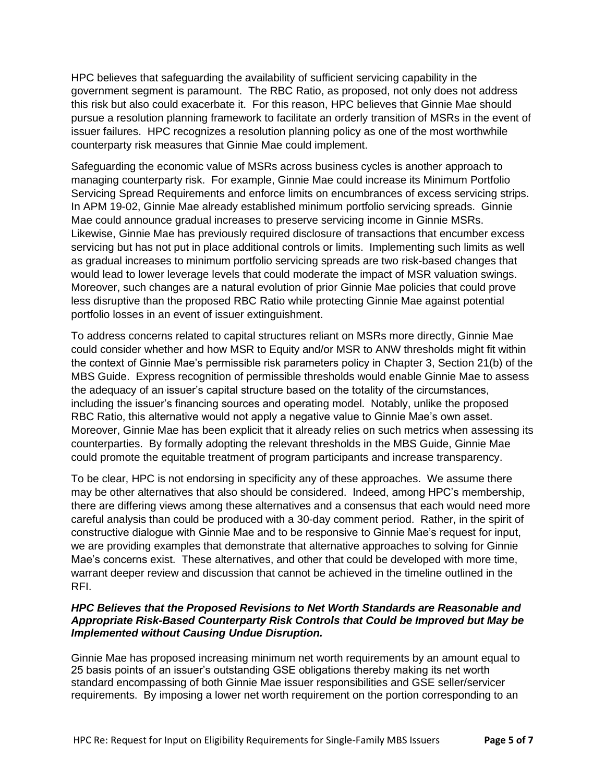HPC believes that safeguarding the availability of sufficient servicing capability in the government segment is paramount. The RBC Ratio, as proposed, not only does not address this risk but also could exacerbate it. For this reason, HPC believes that Ginnie Mae should pursue a resolution planning framework to facilitate an orderly transition of MSRs in the event of issuer failures. HPC recognizes a resolution planning policy as one of the most worthwhile counterparty risk measures that Ginnie Mae could implement.

Safeguarding the economic value of MSRs across business cycles is another approach to managing counterparty risk. For example, Ginnie Mae could increase its Minimum Portfolio Servicing Spread Requirements and enforce limits on encumbrances of excess servicing strips. In APM 19-02, Ginnie Mae already established minimum portfolio servicing spreads. Ginnie Mae could announce gradual increases to preserve servicing income in Ginnie MSRs. Likewise, Ginnie Mae has previously required disclosure of transactions that encumber excess servicing but has not put in place additional controls or limits. Implementing such limits as well as gradual increases to minimum portfolio servicing spreads are two risk-based changes that would lead to lower leverage levels that could moderate the impact of MSR valuation swings. Moreover, such changes are a natural evolution of prior Ginnie Mae policies that could prove less disruptive than the proposed RBC Ratio while protecting Ginnie Mae against potential portfolio losses in an event of issuer extinguishment.

To address concerns related to capital structures reliant on MSRs more directly, Ginnie Mae could consider whether and how MSR to Equity and/or MSR to ANW thresholds might fit within the context of Ginnie Mae's permissible risk parameters policy in Chapter 3, Section 21(b) of the MBS Guide. Express recognition of permissible thresholds would enable Ginnie Mae to assess the adequacy of an issuer's capital structure based on the totality of the circumstances, including the issuer's financing sources and operating model. Notably, unlike the proposed RBC Ratio, this alternative would not apply a negative value to Ginnie Mae's own asset. Moreover, Ginnie Mae has been explicit that it already relies on such metrics when assessing its counterparties. By formally adopting the relevant thresholds in the MBS Guide, Ginnie Mae could promote the equitable treatment of program participants and increase transparency.

To be clear, HPC is not endorsing in specificity any of these approaches. We assume there may be other alternatives that also should be considered. Indeed, among HPC's membership, there are differing views among these alternatives and a consensus that each would need more careful analysis than could be produced with a 30-day comment period. Rather, in the spirit of constructive dialogue with Ginnie Mae and to be responsive to Ginnie Mae's request for input, we are providing examples that demonstrate that alternative approaches to solving for Ginnie Mae's concerns exist. These alternatives, and other that could be developed with more time, warrant deeper review and discussion that cannot be achieved in the timeline outlined in the RFI.

### *HPC Believes that the Proposed Revisions to Net Worth Standards are Reasonable and Appropriate Risk-Based Counterparty Risk Controls that Could be Improved but May be Implemented without Causing Undue Disruption.*

Ginnie Mae has proposed increasing minimum net worth requirements by an amount equal to 25 basis points of an issuer's outstanding GSE obligations thereby making its net worth standard encompassing of both Ginnie Mae issuer responsibilities and GSE seller/servicer requirements. By imposing a lower net worth requirement on the portion corresponding to an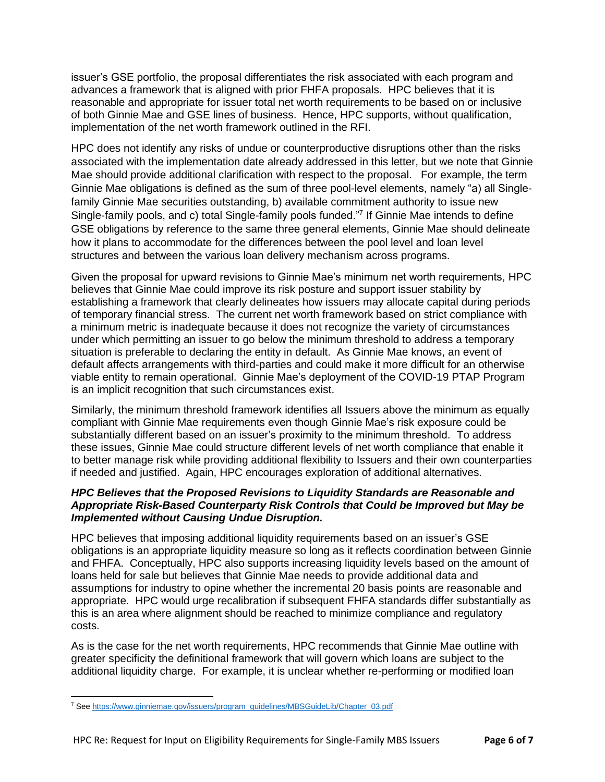issuer's GSE portfolio, the proposal differentiates the risk associated with each program and advances a framework that is aligned with prior FHFA proposals. HPC believes that it is reasonable and appropriate for issuer total net worth requirements to be based on or inclusive of both Ginnie Mae and GSE lines of business. Hence, HPC supports, without qualification, implementation of the net worth framework outlined in the RFI.

HPC does not identify any risks of undue or counterproductive disruptions other than the risks associated with the implementation date already addressed in this letter, but we note that Ginnie Mae should provide additional clarification with respect to the proposal. For example, the term Ginnie Mae obligations is defined as the sum of three pool-level elements, namely "a) all Singlefamily Ginnie Mae securities outstanding, b) available commitment authority to issue new Single-family pools, and c) total Single-family pools funded."<sup>7</sup> If Ginnie Mae intends to define GSE obligations by reference to the same three general elements, Ginnie Mae should delineate how it plans to accommodate for the differences between the pool level and loan level structures and between the various loan delivery mechanism across programs.

Given the proposal for upward revisions to Ginnie Mae's minimum net worth requirements, HPC believes that Ginnie Mae could improve its risk posture and support issuer stability by establishing a framework that clearly delineates how issuers may allocate capital during periods of temporary financial stress. The current net worth framework based on strict compliance with a minimum metric is inadequate because it does not recognize the variety of circumstances under which permitting an issuer to go below the minimum threshold to address a temporary situation is preferable to declaring the entity in default. As Ginnie Mae knows, an event of default affects arrangements with third-parties and could make it more difficult for an otherwise viable entity to remain operational. Ginnie Mae's deployment of the COVID-19 PTAP Program is an implicit recognition that such circumstances exist.

Similarly, the minimum threshold framework identifies all Issuers above the minimum as equally compliant with Ginnie Mae requirements even though Ginnie Mae's risk exposure could be substantially different based on an issuer's proximity to the minimum threshold. To address these issues, Ginnie Mae could structure different levels of net worth compliance that enable it to better manage risk while providing additional flexibility to Issuers and their own counterparties if needed and justified. Again, HPC encourages exploration of additional alternatives.

### *HPC Believes that the Proposed Revisions to Liquidity Standards are Reasonable and Appropriate Risk-Based Counterparty Risk Controls that Could be Improved but May be Implemented without Causing Undue Disruption.*

HPC believes that imposing additional liquidity requirements based on an issuer's GSE obligations is an appropriate liquidity measure so long as it reflects coordination between Ginnie and FHFA. Conceptually, HPC also supports increasing liquidity levels based on the amount of loans held for sale but believes that Ginnie Mae needs to provide additional data and assumptions for industry to opine whether the incremental 20 basis points are reasonable and appropriate. HPC would urge recalibration if subsequent FHFA standards differ substantially as this is an area where alignment should be reached to minimize compliance and regulatory costs.

As is the case for the net worth requirements, HPC recommends that Ginnie Mae outline with greater specificity the definitional framework that will govern which loans are subject to the additional liquidity charge. For example, it is unclear whether re-performing or modified loan

<sup>7</sup> Se[e https://www.ginniemae.gov/issuers/program\\_guidelines/MBSGuideLib/Chapter\\_03.pdf](https://www.ginniemae.gov/issuers/program_guidelines/MBSGuideLib/Chapter_03.pdf)